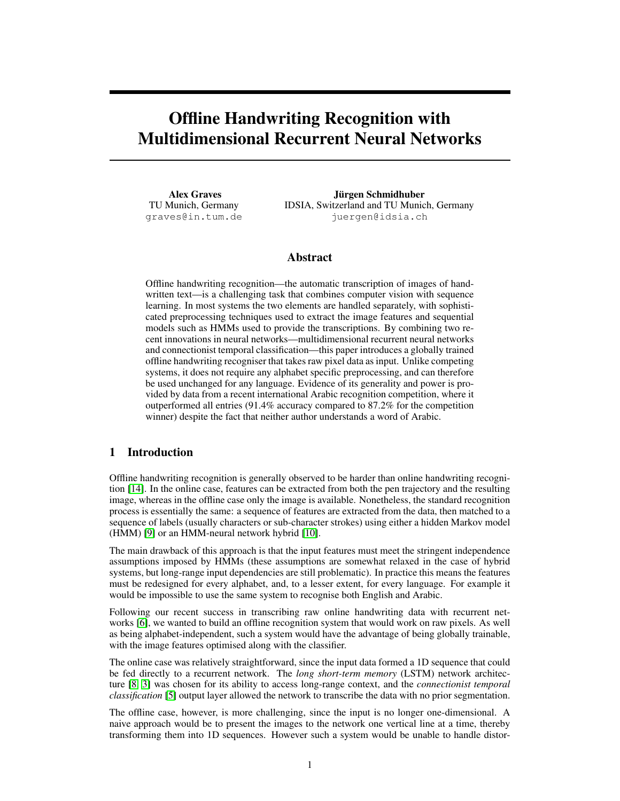# Offline Handwriting Recognition with Multidimensional Recurrent Neural Networks

Alex Graves TU Munich, Germany graves@in.tum.de

Jürgen Schmidhuber IDSIA, Switzerland and TU Munich, Germany juergen@idsia.ch

## Abstract

Offline handwriting recognition—the automatic transcription of images of handwritten text—is a challenging task that combines computer vision with sequence learning. In most systems the two elements are handled separately, with sophisticated preprocessing techniques used to extract the image features and sequential models such as HMMs used to provide the transcriptions. By combining two recent innovations in neural networks—multidimensional recurrent neural networks and connectionist temporal classification—this paper introduces a globally trained offline handwriting recogniser that takes raw pixel data as input. Unlike competing systems, it does not require any alphabet specific preprocessing, and can therefore be used unchanged for any language. Evidence of its generality and power is provided by data from a recent international Arabic recognition competition, where it outperformed all entries (91.4% accuracy compared to 87.2% for the competition winner) despite the fact that neither author understands a word of Arabic.

## 1 Introduction

Offline handwriting recognition is generally observed to be harder than online handwriting recognition [\[14\]](#page-7-0). In the online case, features can be extracted from both the pen trajectory and the resulting image, whereas in the offline case only the image is available. Nonetheless, the standard recognition process is essentially the same: a sequence of features are extracted from the data, then matched to a sequence of labels (usually characters or sub-character strokes) using either a hidden Markov model (HMM) [\[9\]](#page-7-1) or an HMM-neural network hybrid [\[10\]](#page-7-2).

The main drawback of this approach is that the input features must meet the stringent independence assumptions imposed by HMMs (these assumptions are somewhat relaxed in the case of hybrid systems, but long-range input dependencies are still problematic). In practice this means the features must be redesigned for every alphabet, and, to a lesser extent, for every language. For example it would be impossible to use the same system to recognise both English and Arabic.

Following our recent success in transcribing raw online handwriting data with recurrent networks [\[6\]](#page-7-3), we wanted to build an offline recognition system that would work on raw pixels. As well as being alphabet-independent, such a system would have the advantage of being globally trainable, with the image features optimised along with the classifier.

The online case was relatively straightforward, since the input data formed a 1D sequence that could be fed directly to a recurrent network. The *long short-term memory* (LSTM) network architecture [\[8,](#page-7-4) [3\]](#page-7-5) was chosen for its ability to access long-range context, and the *connectionist temporal classification* [\[5\]](#page-7-6) output layer allowed the network to transcribe the data with no prior segmentation.

The offline case, however, is more challenging, since the input is no longer one-dimensional. A naive approach would be to present the images to the network one vertical line at a time, thereby transforming them into 1D sequences. However such a system would be unable to handle distor-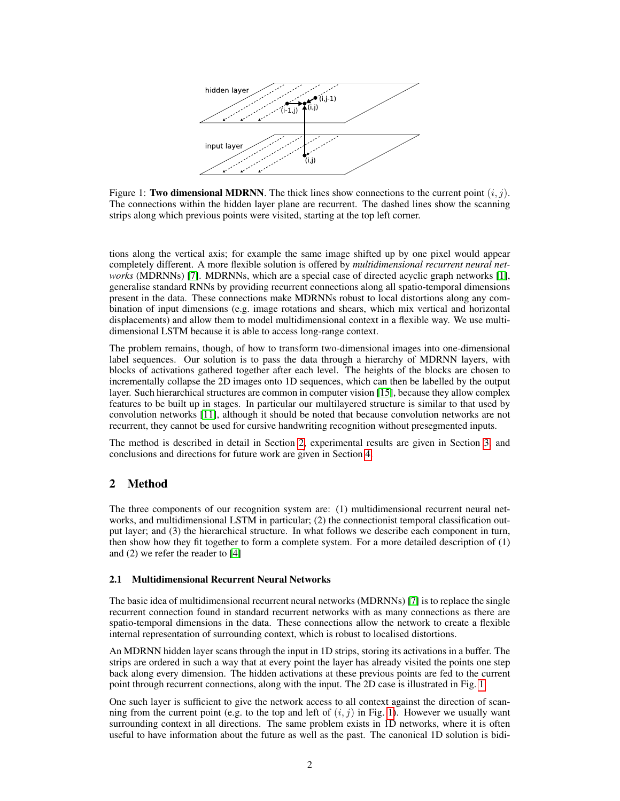

<span id="page-1-1"></span>Figure 1: Two dimensional MDRNN. The thick lines show connections to the current point  $(i, j)$ . The connections within the hidden layer plane are recurrent. The dashed lines show the scanning strips along which previous points were visited, starting at the top left corner.

tions along the vertical axis; for example the same image shifted up by one pixel would appear completely different. A more flexible solution is offered by *multidimensional recurrent neural networks* (MDRNNs) [\[7\]](#page-7-7). MDRNNs, which are a special case of directed acyclic graph networks [\[1\]](#page-7-8), generalise standard RNNs by providing recurrent connections along all spatio-temporal dimensions present in the data. These connections make MDRNNs robust to local distortions along any combination of input dimensions (e.g. image rotations and shears, which mix vertical and horizontal displacements) and allow them to model multidimensional context in a flexible way. We use multidimensional LSTM because it is able to access long-range context.

The problem remains, though, of how to transform two-dimensional images into one-dimensional label sequences. Our solution is to pass the data through a hierarchy of MDRNN layers, with blocks of activations gathered together after each level. The heights of the blocks are chosen to incrementally collapse the 2D images onto 1D sequences, which can then be labelled by the output layer. Such hierarchical structures are common in computer vision [\[15\]](#page-7-9), because they allow complex features to be built up in stages. In particular our multilayered structure is similar to that used by convolution networks [\[11\]](#page-7-10), although it should be noted that because convolution networks are not recurrent, they cannot be used for cursive handwriting recognition without presegmented inputs.

The method is described in detail in Section [2,](#page-1-0) experimental results are given in Section [3,](#page-5-0) and conclusions and directions for future work are given in Section [4.](#page-7-11)

## <span id="page-1-0"></span>2 Method

The three components of our recognition system are: (1) multidimensional recurrent neural networks, and multidimensional LSTM in particular; (2) the connectionist temporal classification output layer; and (3) the hierarchical structure. In what follows we describe each component in turn, then show how they fit together to form a complete system. For a more detailed description of (1) and (2) we refer the reader to [\[4\]](#page-7-12)

## 2.1 Multidimensional Recurrent Neural Networks

The basic idea of multidimensional recurrent neural networks (MDRNNs) [\[7\]](#page-7-7) is to replace the single recurrent connection found in standard recurrent networks with as many connections as there are spatio-temporal dimensions in the data. These connections allow the network to create a flexible internal representation of surrounding context, which is robust to localised distortions.

An MDRNN hidden layer scans through the input in 1D strips, storing its activations in a buffer. The strips are ordered in such a way that at every point the layer has already visited the points one step back along every dimension. The hidden activations at these previous points are fed to the current point through recurrent connections, along with the input. The 2D case is illustrated in Fig. [1.](#page-1-1)

One such layer is sufficient to give the network access to all context against the direction of scanning from the current point (e.g. to the top and left of  $(i, j)$  in Fig. [1\)](#page-1-1). However we usually want surrounding context in all directions. The same problem exists in 1D networks, where it is often useful to have information about the future as well as the past. The canonical 1D solution is bidi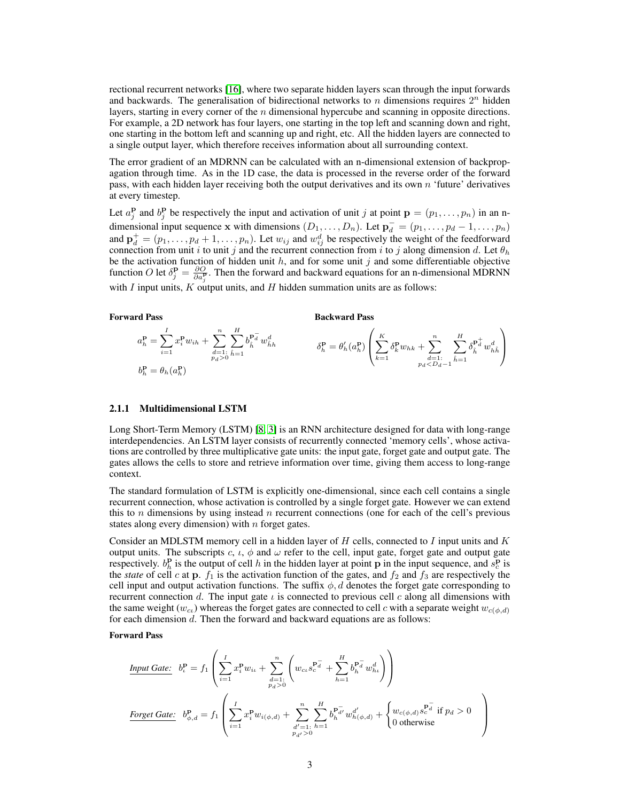rectional recurrent networks [\[16\]](#page-7-13), where two separate hidden layers scan through the input forwards and backwards. The generalisation of bidirectional networks to n dimensions requires  $2^n$  hidden layers, starting in every corner of the  $n$  dimensional hypercube and scanning in opposite directions. For example, a 2D network has four layers, one starting in the top left and scanning down and right, one starting in the bottom left and scanning up and right, etc. All the hidden layers are connected to a single output layer, which therefore receives information about all surrounding context.

The error gradient of an MDRNN can be calculated with an n-dimensional extension of backpropagation through time. As in the 1D case, the data is processed in the reverse order of the forward pass, with each hidden layer receiving both the output derivatives and its own n 'future' derivatives at every timestep.

Let  $a_j^{\mathbf{p}}$  and  $b_j^{\mathbf{p}}$  be respectively the input and activation of unit j at point  $\mathbf{p} = (p_1, \ldots, p_n)$  in an ndimensional input sequence x with dimensions  $(D_1, \ldots, D_n)$ . Let  $\mathbf{p}_d^- = (p_1, \ldots, p_d - 1, \ldots, p_n)$ and  $\mathbf{p}_d^+ = (p_1, \dots, p_d + 1, \dots, p_n)$ . Let  $w_{ij}$  and  $w_{ij}^d$  be respectively the weight of the feedforward connection from unit i to unit j and the recurrent connection from i to j along dimension d. Let  $\theta_h$ be the activation function of hidden unit  $h$ , and for some unit j and some differentiable objective function O let  $\delta_j^{\mathbf{p}} = \frac{\partial O}{\partial a_j^{\mathbf{p}}}$ . Then the forward and backward equations for an n-dimensional MDRNN with  $I$  input units,  $K$  output units, and  $H$  hidden summation units are as follows:

#### Forward Pass

Backward Pass

$$
a_h^{\mathbf{p}} = \sum_{i=1}^I x_i^{\mathbf{p}} w_{ih} + \sum_{\substack{d=1 \\ p_d > 0}}^n \sum_{\hat{h}=1}^H b_{\hat{h}}^{\mathbf{p}_d^-} w_{\hat{h}h}^d \qquad \qquad \delta_h^{\mathbf{p}} = \theta'_h(a_h^{\mathbf{p}}) \left( \sum_{k=1}^K \delta_k^{\mathbf{p}} w_{hk} + \sum_{\substack{d=1 \\ p_d < D_d-1}}^n \sum_{\hat{h}=1}^H \delta_{\hat{h}}^{\mathbf{p}_d^+} w_{\hat{h} \hat{h}}^d \right)
$$

#### 2.1.1 Multidimensional LSTM

Long Short-Term Memory (LSTM) [\[8,](#page-7-4) [3\]](#page-7-5) is an RNN architecture designed for data with long-range interdependencies. An LSTM layer consists of recurrently connected 'memory cells', whose activations are controlled by three multiplicative gate units: the input gate, forget gate and output gate. The gates allows the cells to store and retrieve information over time, giving them access to long-range context.

The standard formulation of LSTM is explicitly one-dimensional, since each cell contains a single recurrent connection, whose activation is controlled by a single forget gate. However we can extend this to n dimensions by using instead n recurrent connections (one for each of the cell's previous states along every dimension) with  $n$  forget gates.

Consider an MDLSTM memory cell in a hidden layer of  $H$  cells, connected to  $I$  input units and  $K$ output units. The subscripts c,  $\iota$ ,  $\phi$  and  $\omega$  refer to the cell, input gate, forget gate and output gate respectively.  $b_h^{\bf p}$  is the output of cell h in the hidden layer at point **p** in the input sequence, and  $s_c^{\bf p}$  is the *state* of cell c at p.  $f_1$  is the activation function of the gates, and  $f_2$  and  $f_3$  are respectively the cell input and output activation functions. The suffix  $\phi$ , d denotes the forget gate corresponding to recurrent connection d. The input gate  $\iota$  is connected to previous cell c along all dimensions with the same weight ( $w_{c}(w_{c})$ ) whereas the forget gates are connected to cell c with a separate weight  $w_{c(φ,d)}$ for each dimension d. Then the forward and backward equations are as follows:

#### Forward Pass

 $\lambda$ 

$$
\underline{\text{Input Gate:}} \quad b_{\iota}^{\mathbf{p}} = f_1 \left( \sum_{i=1}^{I} x_i^{\mathbf{p}} w_{i\iota} + \sum_{\substack{d=1:\\p_d>0}}^{n} \left( w_{c\iota} s_c^{\mathbf{p}_d^-} + \sum_{h=1}^{H} b_h^{\mathbf{p}_d^-} w_{h\iota}^d \right) \right)
$$
\n
$$
\underline{\text{forget Gate:}} \quad b_{\phi,d}^{\mathbf{p}} = f_1 \left( \sum_{i=1}^{I} x_i^{\mathbf{p}} w_{i(\phi,d)} + \sum_{\substack{d'=1:\\p_{d'}>0}}^{n} \sum_{h=1}^{H} b_h^{\mathbf{p}_d^-} w_{h(\phi,d)}^{d'} + \begin{cases} w_{c(\phi,d)} s_c^{\mathbf{p}_d^-} \text{ if } p_d > 0\\ 0 \text{ otherwise} \end{cases} \right)
$$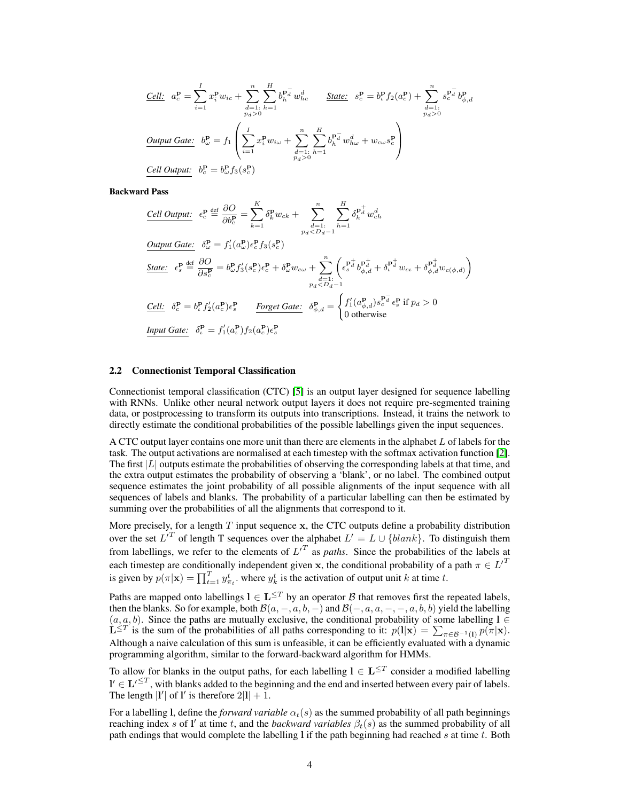$$
\underline{Cell:} \quad a_c^{\mathbf{p}} = \sum_{i=1}^{I} x_i^{\mathbf{p}} w_{ic} + \sum_{\substack{d=1 \ i \neq j}}^{n} \sum_{h=1}^{H} b_h^{\mathbf{p}_d^-} w_{hc}^d \qquad \underline{State:} \quad s_c^{\mathbf{p}} = b_c^{\mathbf{p}} f_2(a_c^{\mathbf{p}}) + \sum_{\substack{d=1 \ i \neq j}}^{n} s_c^{\mathbf{p}_d^-} b_{\phi,d}^{\mathbf{p}} \n\underline{Output Gate:} \quad b_{\omega}^{\mathbf{p}} = f_1 \left( \sum_{i=1}^{I} x_i^{\mathbf{p}} w_{i\omega} + \sum_{\substack{d=1 \ i \neq j}}^{n} \sum_{h=1}^{H} b_h^{\mathbf{p}_d^-} w_{h\omega}^d + w_{c\omega} s_c^{\mathbf{p}} \right) \n\underline{Cell Output:} \quad b_c^{\mathbf{p}} = b_{\omega}^{\mathbf{p}} f_3(s_c^{\mathbf{p}})
$$

Backward Pass

Cell Output: 
$$
\epsilon_c^{\mathbf{p}} \stackrel{\text{def}}{=} \frac{\partial O}{\partial b_c^{\mathbf{p}}} = \sum_{k=1}^K \delta_k^{\mathbf{p}} w_{ck} + \sum_{\substack{d=1 \text{ } \text{ } \\ d \geq 1}}^n \sum_{h=1}^M \delta_h^{\mathbf{p}_d^+} w_{ch}^d
$$
\nOutput Gate: 
$$
\delta_c^{\mathbf{p}} = f'_1(a_c^{\mathbf{p}}) \epsilon_c^{\mathbf{p}} f_3(s_c^{\mathbf{p}})
$$
\nState: 
$$
\epsilon_s^{\mathbf{p}} \stackrel{\text{def}}{=} \frac{\partial O}{\partial s_c^{\mathbf{p}}} = b_c^{\mathbf{p}} f'_3(s_c^{\mathbf{p}}) \epsilon_c^{\mathbf{p}} + \delta_c^{\mathbf{p}} w_{cw} + \sum_{\substack{d=1 \text{ } \text{ } \\ d \geq 1}}^n \left( \epsilon_s^{\mathbf{p}_d^+} b_{\phi,d}^{\mathbf{p}_d^+} + \delta_t^{\mathbf{p}_d^+} w_{cc} + \delta_{\phi,d}^{\mathbf{p}_d^+} w_{c(\phi,d)} \right)
$$
\n
$$
\frac{\text{Cell: } \delta_c^{\mathbf{p}} = b_c^{\mathbf{p}} f'_2(a_c^{\mathbf{p}}) \epsilon_s^{\mathbf{p}} \qquad \text{Forest Gate: } \delta_{\phi,d}^{\mathbf{p}} = \begin{cases} f'_1(a_{\phi,d}^{\mathbf{p}}) s_c^{\mathbf{p}_d^+} \epsilon_s^{\mathbf{p}} \text{ if } p_d > 0\\ 0 \text{ otherwise} \end{cases}
$$
\nInput Gate: 
$$
\delta_c^{\mathbf{p}} = f'_1(a_c^{\mathbf{p}}) f_2(a_c^{\mathbf{p}}) \epsilon_s^{\mathbf{p}}
$$

#### 2.2 Connectionist Temporal Classification

Connectionist temporal classification (CTC) [\[5\]](#page-7-6) is an output layer designed for sequence labelling with RNNs. Unlike other neural network output layers it does not require pre-segmented training data, or postprocessing to transform its outputs into transcriptions. Instead, it trains the network to directly estimate the conditional probabilities of the possible labellings given the input sequences.

A CTC output layer contains one more unit than there are elements in the alphabet L of labels for the task. The output activations are normalised at each timestep with the softmax activation function [\[2\]](#page-7-14). The first  $|L|$  outputs estimate the probabilities of observing the corresponding labels at that time, and the extra output estimates the probability of observing a 'blank', or no label. The combined output sequence estimates the joint probability of all possible alignments of the input sequence with all sequences of labels and blanks. The probability of a particular labelling can then be estimated by summing over the probabilities of all the alignments that correspond to it.

More precisely, for a length  $T$  input sequence  $x$ , the CTC outputs define a probability distribution over the set  $L^{T}$  of length T sequences over the alphabet  $L' = L \cup \{blank\}$ . To distinguish them from labellings, we refer to the elements of  $L^{T}$  as *paths*. Since the probabilities of the labels at each timestep are conditionally independent given x, the conditional probability of a path  $\pi \in L^{\prime T}$ is given by  $p(\pi|\mathbf{x}) = \prod_{t=1}^T y_{\pi_t}^t$ . where  $y_k^t$  is the activation of output unit k at time t.

Paths are mapped onto labellings  $l \in L^{\leq T}$  by an operator  $\mathcal B$  that removes first the repeated labels, then the blanks. So for example, both  $\mathcal{B}(a, -, a, b, -)$  and  $\mathcal{B}(-, a, a, -, -, a, b, b)$  yield the labelling  $(a, a, b)$ . Since the paths are mutually exclusive, the conditional probability of some labelling  $l \in$  $\mathbf{L}^{\leq T}$  is the sum of the probabilities of all paths corresponding to it:  $p(\mathbf{l}|\mathbf{x}) = \sum_{\pi \in \mathcal{B}^{-1}(\mathbf{l})} p(\pi|\mathbf{x})$ . Although a naive calculation of this sum is unfeasible, it can be efficiently evaluated with a dynamic programming algorithm, similar to the forward-backward algorithm for HMMs.

To allow for blanks in the output paths, for each labelling  $l \in L^{\leq T}$  consider a modified labelling  $\mathbf{l}' \in \mathbf{L}'^{\leq T}$ , with blanks added to the beginning and the end and inserted between every pair of labels. The length  $|I'|$  of  $I'$  is therefore  $2|I| + 1$ .

For a labelling l, define the *forward variable*  $\alpha_t(s)$  as the summed probability of all path beginnings reaching index s of l' at time t, and the *backward variables*  $\beta_t(s)$  as the summed probability of all path endings that would complete the labelling  $l$  if the path beginning had reached s at time t. Both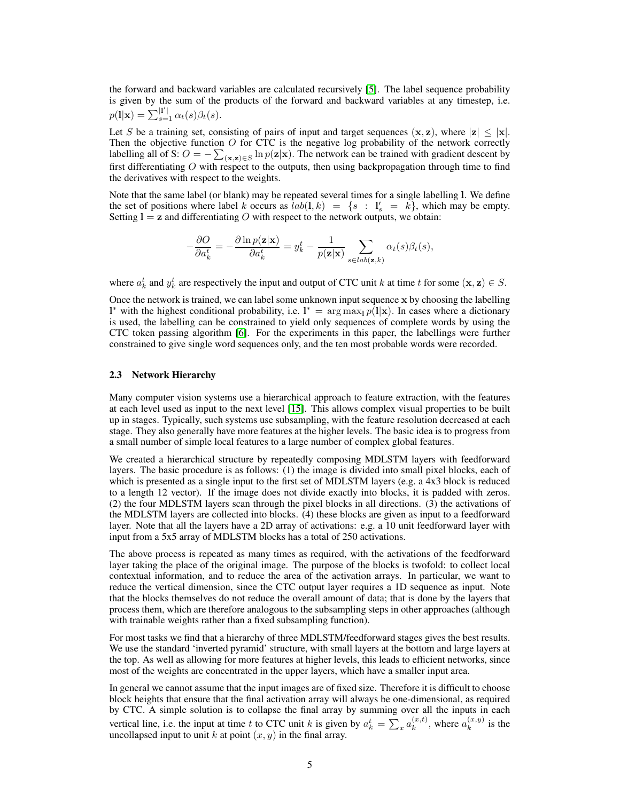the forward and backward variables are calculated recursively [\[5\]](#page-7-6). The label sequence probability is given by the sum of the products of the forward and backward variables at any timestep, i.e.  $p(1|\mathbf{x}) = \sum_{s=1}^{|1'|} \alpha_t(s) \beta_t(s).$ 

Let S be a training set, consisting of pairs of input and target sequences  $(x, z)$ , where  $|z| \le |x|$ . Then the objective function  $O$  for CTC is the negative log probability of the network correctly labelling all of S:  $O = -\sum_{(\mathbf{x},\mathbf{z}) \in S} \ln p(\mathbf{z}|\mathbf{x})$ . The network can be trained with gradient descent by first differentiating  $O$  with respect to the outputs, then using backpropagation through time to find the derivatives with respect to the weights.

Note that the same label (or blank) may be repeated several times for a single labelling l. We define the set of positions where label k occurs as  $lab(1, k) = \{s : l'_s = k\}$ , which may be empty. Setting  $l = z$  and differentiating O with respect to the network outputs, we obtain:

$$
-\frac{\partial O}{\partial a_k^t} = -\frac{\partial \ln p(\mathbf{z}|\mathbf{x})}{\partial a_k^t} = y_k^t - \frac{1}{p(\mathbf{z}|\mathbf{x})} \sum_{s \in lab(\mathbf{z}, k)} \alpha_t(s) \beta_t(s),
$$

where  $a_k^t$  and  $y_k^t$  are respectively the input and output of CTC unit k at time t for some  $(\mathbf{x}, \mathbf{z}) \in S$ .

Once the network is trained, we can label some unknown input sequence x by choosing the labelling l<sup>\*</sup> with the highest conditional probability, i.e.  $l^* = \arg \max_l p(l|\mathbf{x})$ . In cases where a dictionary is used, the labelling can be constrained to yield only sequences of complete words by using the CTC token passing algorithm [\[6\]](#page-7-3). For the experiments in this paper, the labellings were further constrained to give single word sequences only, and the ten most probable words were recorded.

#### <span id="page-4-0"></span>2.3 Network Hierarchy

Many computer vision systems use a hierarchical approach to feature extraction, with the features at each level used as input to the next level [\[15\]](#page-7-9). This allows complex visual properties to be built up in stages. Typically, such systems use subsampling, with the feature resolution decreased at each stage. They also generally have more features at the higher levels. The basic idea is to progress from a small number of simple local features to a large number of complex global features.

We created a hierarchical structure by repeatedly composing MDLSTM layers with feedforward layers. The basic procedure is as follows: (1) the image is divided into small pixel blocks, each of which is presented as a single input to the first set of MDLSTM layers (e.g. a 4x3 block is reduced to a length 12 vector). If the image does not divide exactly into blocks, it is padded with zeros. (2) the four MDLSTM layers scan through the pixel blocks in all directions. (3) the activations of the MDLSTM layers are collected into blocks. (4) these blocks are given as input to a feedforward layer. Note that all the layers have a 2D array of activations: e.g. a 10 unit feedforward layer with input from a 5x5 array of MDLSTM blocks has a total of 250 activations.

The above process is repeated as many times as required, with the activations of the feedforward layer taking the place of the original image. The purpose of the blocks is twofold: to collect local contextual information, and to reduce the area of the activation arrays. In particular, we want to reduce the vertical dimension, since the CTC output layer requires a 1D sequence as input. Note that the blocks themselves do not reduce the overall amount of data; that is done by the layers that process them, which are therefore analogous to the subsampling steps in other approaches (although with trainable weights rather than a fixed subsampling function).

For most tasks we find that a hierarchy of three MDLSTM/feedforward stages gives the best results. We use the standard 'inverted pyramid' structure, with small layers at the bottom and large layers at the top. As well as allowing for more features at higher levels, this leads to efficient networks, since most of the weights are concentrated in the upper layers, which have a smaller input area.

In general we cannot assume that the input images are of fixed size. Therefore it is difficult to choose block heights that ensure that the final activation array will always be one-dimensional, as required by CTC. A simple solution is to collapse the final array by summing over all the inputs in each vertical line, i.e. the input at time t to CTC unit k is given by  $a_k^t = \sum_x a_k^{(x,t)}$  $\binom{x,t}{k}$ , where  $a_k^{(x,y)}$  $\binom{x,y}{k}$  is the uncollapsed input to unit  $k$  at point  $(x, y)$  in the final array.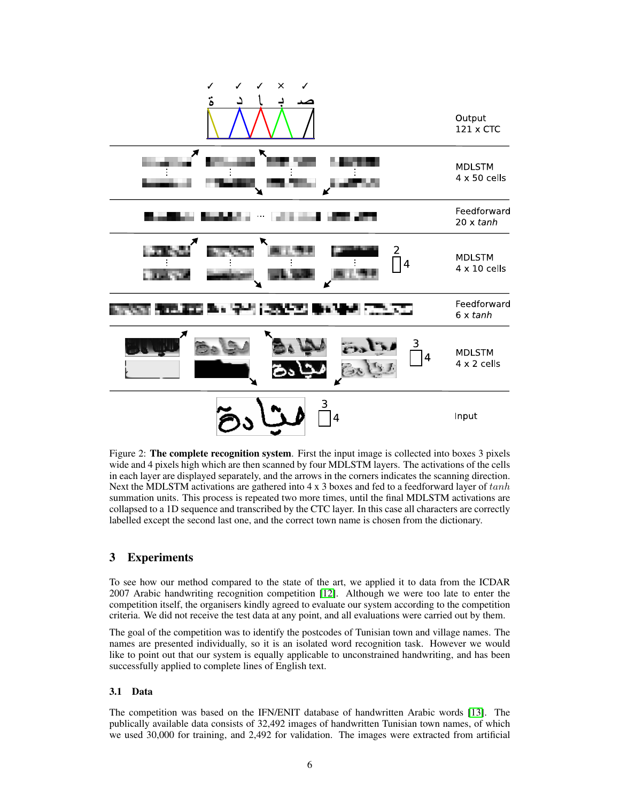

<span id="page-5-1"></span>Figure 2: **The complete recognition system**. First the input image is collected into boxes 3 pixels wide and 4 pixels high which are then scanned by four MDLSTM layers. The activations of the cells in each layer are displayed separately, and the arrows in the corners indicates the scanning direction. Next the MDLSTM activations are gathered into  $4 \times 3$  boxes and fed to a feedforward layer of  $tanh$ summation units. This process is repeated two more times, until the final MDLSTM activations are collapsed to a 1D sequence and transcribed by the CTC layer. In this case all characters are correctly labelled except the second last one, and the correct town name is chosen from the dictionary.

## <span id="page-5-0"></span>3 Experiments

To see how our method compared to the state of the art, we applied it to data from the ICDAR 2007 Arabic handwriting recognition competition [\[12\]](#page-7-15). Although we were too late to enter the competition itself, the organisers kindly agreed to evaluate our system according to the competition criteria. We did not receive the test data at any point, and all evaluations were carried out by them.

The goal of the competition was to identify the postcodes of Tunisian town and village names. The names are presented individually, so it is an isolated word recognition task. However we would like to point out that our system is equally applicable to unconstrained handwriting, and has been successfully applied to complete lines of English text.

## 3.1 Data

The competition was based on the IFN/ENIT database of handwritten Arabic words [\[13\]](#page-7-16). The publically available data consists of 32,492 images of handwritten Tunisian town names, of which we used 30,000 for training, and 2,492 for validation. The images were extracted from artificial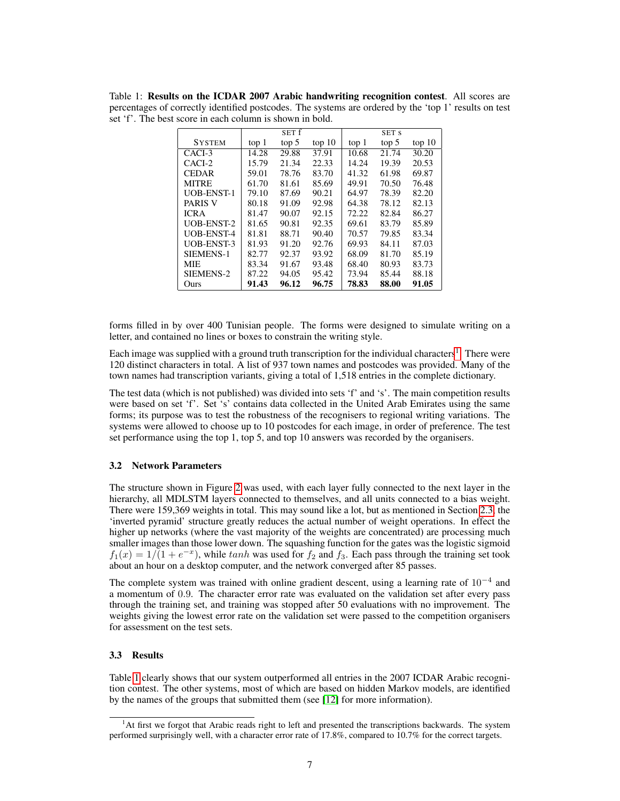<span id="page-6-1"></span>Table 1: Results on the ICDAR 2007 Arabic handwriting recognition contest. All scores are percentages of correctly identified postcodes. The systems are ordered by the 'top 1' results on test set 'f'. The best score in each column is shown in bold.

|                   |       | SET f |        |       | SET S |        |
|-------------------|-------|-------|--------|-------|-------|--------|
| <b>SYSTEM</b>     | top 1 | top 5 | top 10 | top 1 | top 5 | top 10 |
| CACI-3            | 14.28 | 29.88 | 37.91  | 10.68 | 21.74 | 30.20  |
| CACI-2            | 15.79 | 21.34 | 22.33  | 14.24 | 19.39 | 20.53  |
| <b>CEDAR</b>      | 59.01 | 78.76 | 83.70  | 41.32 | 61.98 | 69.87  |
| <b>MITRE</b>      | 61.70 | 81.61 | 85.69  | 49.91 | 70.50 | 76.48  |
| <b>UOB-ENST-1</b> | 79.10 | 87.69 | 90.21  | 64.97 | 78.39 | 82.20  |
| <b>PARIS V</b>    | 80.18 | 91.09 | 92.98  | 64.38 | 78.12 | 82.13  |
| <b>ICRA</b>       | 81.47 | 90.07 | 92.15  | 72.22 | 82.84 | 86.27  |
| <b>UOB-ENST-2</b> | 81.65 | 90.81 | 92.35  | 69.61 | 83.79 | 85.89  |
| <b>UOB-ENST-4</b> | 81.81 | 88.71 | 90.40  | 70.57 | 79.85 | 83.34  |
| <b>UOB-ENST-3</b> | 81.93 | 91.20 | 92.76  | 69.93 | 84.11 | 87.03  |
| SIEMENS-1         | 82.77 | 92.37 | 93.92  | 68.09 | 81.70 | 85.19  |
| <b>MIE</b>        | 83.34 | 91.67 | 93.48  | 68.40 | 80.93 | 83.73  |
| SIEMENS-2         | 87.22 | 94.05 | 95.42  | 73.94 | 85.44 | 88.18  |
| Ours              | 91.43 | 96.12 | 96.75  | 78.83 | 88.00 | 91.05  |

forms filled in by over 400 Tunisian people. The forms were designed to simulate writing on a letter, and contained no lines or boxes to constrain the writing style.

Each image was supplied with a ground truth transcription for the individual characters<sup>[1](#page-6-0)</sup>. There were 120 distinct characters in total. A list of 937 town names and postcodes was provided. Many of the town names had transcription variants, giving a total of 1,518 entries in the complete dictionary.

The test data (which is not published) was divided into sets 'f' and 's'. The main competition results were based on set 'f'. Set 's' contains data collected in the United Arab Emirates using the same forms; its purpose was to test the robustness of the recognisers to regional writing variations. The systems were allowed to choose up to 10 postcodes for each image, in order of preference. The test set performance using the top 1, top 5, and top 10 answers was recorded by the organisers.

#### 3.2 Network Parameters

The structure shown in Figure [2](#page-5-1) was used, with each layer fully connected to the next layer in the hierarchy, all MDLSTM layers connected to themselves, and all units connected to a bias weight. There were 159,369 weights in total. This may sound like a lot, but as mentioned in Section [2.3,](#page-4-0) the 'inverted pyramid' structure greatly reduces the actual number of weight operations. In effect the higher up networks (where the vast majority of the weights are concentrated) are processing much smaller images than those lower down. The squashing function for the gates was the logistic sigmoid  $f_1(x) = 1/(1 + e^{-x})$ , while tanh was used for  $f_2$  and  $f_3$ . Each pass through the training set took about an hour on a desktop computer, and the network converged after 85 passes.

The complete system was trained with online gradient descent, using a learning rate of  $10^{-4}$  and a momentum of 0.9. The character error rate was evaluated on the validation set after every pass through the training set, and training was stopped after 50 evaluations with no improvement. The weights giving the lowest error rate on the validation set were passed to the competition organisers for assessment on the test sets.

## 3.3 Results

Table [1](#page-6-1) clearly shows that our system outperformed all entries in the 2007 ICDAR Arabic recognition contest. The other systems, most of which are based on hidden Markov models, are identified by the names of the groups that submitted them (see [\[12\]](#page-7-15) for more information).

<span id="page-6-0"></span><sup>&</sup>lt;sup>1</sup>At first we forgot that Arabic reads right to left and presented the transcriptions backwards. The system performed surprisingly well, with a character error rate of 17.8%, compared to 10.7% for the correct targets.